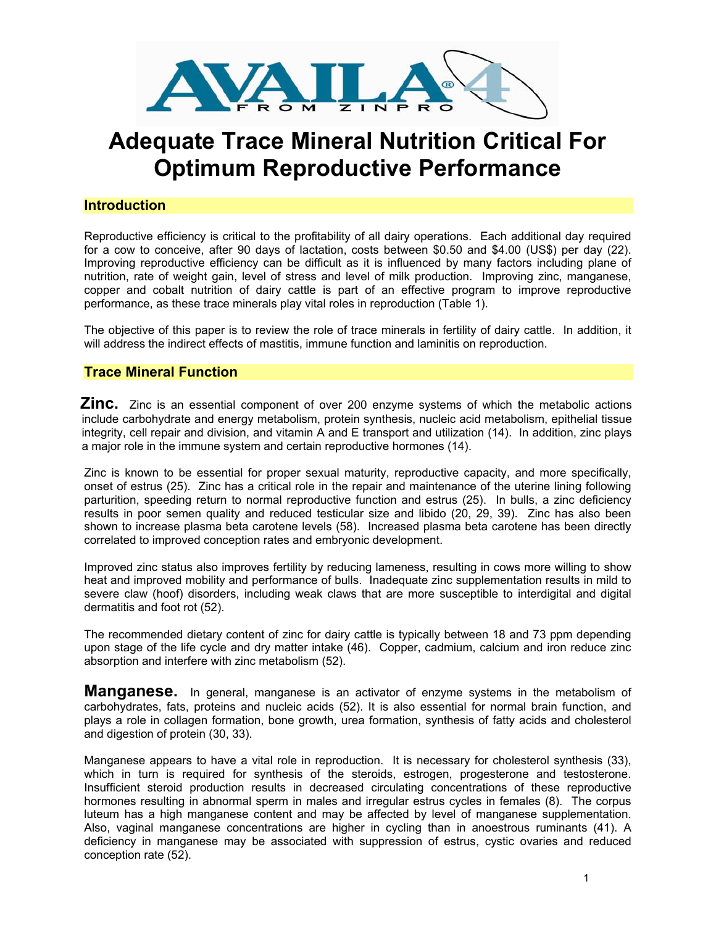

# **Adequate Trace Mineral Nutrition Critical For Optimum Reproductive Performance**

# **Introduction**

Reproductive efficiency is critical to the profitability of all dairy operations. Each additional day required for a cow to conceive, after 90 days of lactation, costs between \$0.50 and \$4.00 (US\$) per day (22). Improving reproductive efficiency can be difficult as it is influenced by many factors including plane of nutrition, rate of weight gain, level of stress and level of milk production. Improving zinc, manganese, copper and cobalt nutrition of dairy cattle is part of an effective program to improve reproductive performance, as these trace minerals play vital roles in reproduction (Table 1).

The objective of this paper is to review the role of trace minerals in fertility of dairy cattle. In addition, it will address the indirect effects of mastitis, immune function and laminitis on reproduction.

# **Trace Mineral Function**

**Zinc.** Zinc is an essential component of over 200 enzyme systems of which the metabolic actions include carbohydrate and energy metabolism, protein synthesis, nucleic acid metabolism, epithelial tissue integrity, cell repair and division, and vitamin A and E transport and utilization (14). In addition, zinc plays a major role in the immune system and certain reproductive hormones (14).

Zinc is known to be essential for proper sexual maturity, reproductive capacity, and more specifically, onset of estrus (25). Zinc has a critical role in the repair and maintenance of the uterine lining following parturition, speeding return to normal reproductive function and estrus (25). In bulls, a zinc deficiency results in poor semen quality and reduced testicular size and libido (20, 29, 39). Zinc has also been shown to increase plasma beta carotene levels (58). Increased plasma beta carotene has been directly correlated to improved conception rates and embryonic development.

Improved zinc status also improves fertility by reducing lameness, resulting in cows more willing to show heat and improved mobility and performance of bulls. Inadequate zinc supplementation results in mild to severe claw (hoof) disorders, including weak claws that are more susceptible to interdigital and digital dermatitis and foot rot (52).

The recommended dietary content of zinc for dairy cattle is typically between 18 and 73 ppm depending upon stage of the life cycle and dry matter intake (46). Copper, cadmium, calcium and iron reduce zinc absorption and interfere with zinc metabolism (52).

**Manganese.** In general, manganese is an activator of enzyme systems in the metabolism of carbohydrates, fats, proteins and nucleic acids (52). It is also essential for normal brain function, and plays a role in collagen formation, bone growth, urea formation, synthesis of fatty acids and cholesterol and digestion of protein (30, 33).

Manganese appears to have a vital role in reproduction. It is necessary for cholesterol synthesis (33), which in turn is required for synthesis of the steroids, estrogen, progesterone and testosterone. Insufficient steroid production results in decreased circulating concentrations of these reproductive hormones resulting in abnormal sperm in males and irregular estrus cycles in females (8). The corpus luteum has a high manganese content and may be affected by level of manganese supplementation. Also, vaginal manganese concentrations are higher in cycling than in anoestrous ruminants (41). A deficiency in manganese may be associated with suppression of estrus, cystic ovaries and reduced conception rate (52).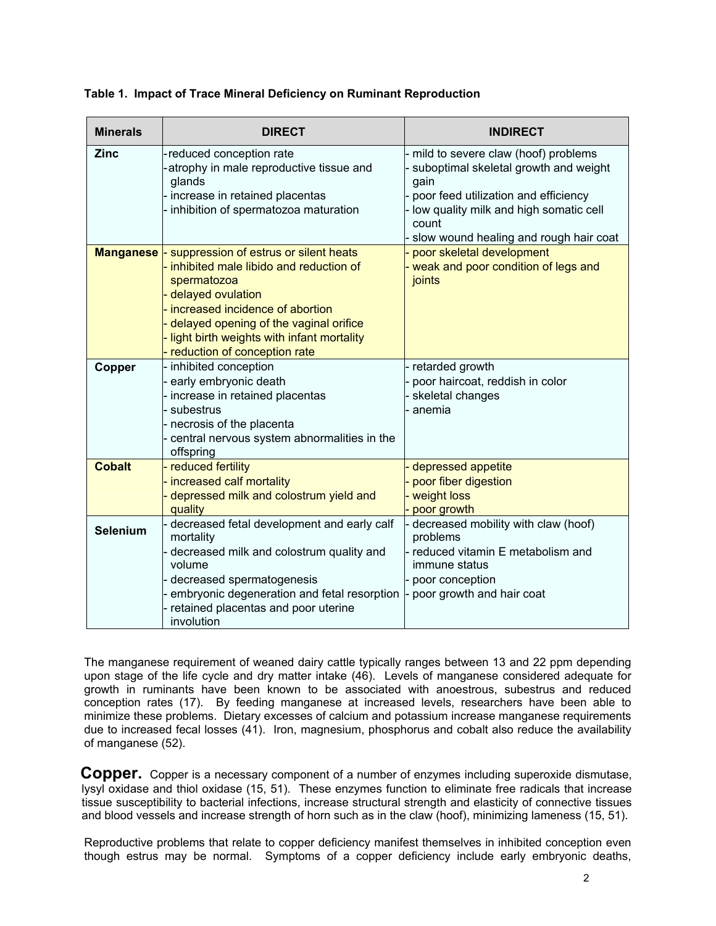|  |  | Table 1. Impact of Trace Mineral Deficiency on Ruminant Reproduction |
|--|--|----------------------------------------------------------------------|
|  |  |                                                                      |

| <b>Minerals</b>  | <b>DIRECT</b>                                                                                                                                                                                                                                                                   | <b>INDIRECT</b>                                                                                                                                                                                                           |
|------------------|---------------------------------------------------------------------------------------------------------------------------------------------------------------------------------------------------------------------------------------------------------------------------------|---------------------------------------------------------------------------------------------------------------------------------------------------------------------------------------------------------------------------|
| <b>Zinc</b>      | -reduced conception rate<br>atrophy in male reproductive tissue and<br>glands<br>- increase in retained placentas<br>inhibition of spermatozoa maturation                                                                                                                       | mild to severe claw (hoof) problems<br>suboptimal skeletal growth and weight<br>gain<br>poor feed utilization and efficiency<br>low quality milk and high somatic cell<br>count<br>slow wound healing and rough hair coat |
| <b>Manganese</b> | - suppression of estrus or silent heats<br>inhibited male libido and reduction of<br>spermatozoa<br>delayed ovulation<br>increased incidence of abortion<br>delayed opening of the vaginal orifice<br>light birth weights with infant mortality<br>reduction of conception rate | poor skeletal development<br>weak and poor condition of legs and<br>joints                                                                                                                                                |
| Copper           | inhibited conception<br>early embryonic death<br>increase in retained placentas<br>subestrus<br>necrosis of the placenta<br>central nervous system abnormalities in the<br>offspring                                                                                            | retarded growth<br>poor haircoat, reddish in color<br>skeletal changes<br>anemia                                                                                                                                          |
| <b>Cobalt</b>    | - reduced fertility<br>increased calf mortality<br>depressed milk and colostrum yield and<br>quality                                                                                                                                                                            | depressed appetite<br>poor fiber digestion<br>weight loss<br>- poor growth                                                                                                                                                |
| <b>Selenium</b>  | decreased fetal development and early calf<br>mortality<br>decreased milk and colostrum quality and<br>volume<br>decreased spermatogenesis<br>embryonic degeneration and fetal resorption<br>retained placentas and poor uterine<br>involution                                  | decreased mobility with claw (hoof)<br>problems<br>reduced vitamin E metabolism and<br>immune status<br>poor conception<br>poor growth and hair coat                                                                      |

The manganese requirement of weaned dairy cattle typically ranges between 13 and 22 ppm depending upon stage of the life cycle and dry matter intake (46). Levels of manganese considered adequate for growth in ruminants have been known to be associated with anoestrous, subestrus and reduced conception rates (17). By feeding manganese at increased levels, researchers have been able to minimize these problems. Dietary excesses of calcium and potassium increase manganese requirements due to increased fecal losses (41). Iron, magnesium, phosphorus and cobalt also reduce the availability of manganese (52).

**Copper.** Copper is a necessary component of a number of enzymes including superoxide dismutase, lysyl oxidase and thiol oxidase (15, 51). These enzymes function to eliminate free radicals that increase tissue susceptibility to bacterial infections, increase structural strength and elasticity of connective tissues and blood vessels and increase strength of horn such as in the claw (hoof), minimizing lameness (15, 51).

Reproductive problems that relate to copper deficiency manifest themselves in inhibited conception even though estrus may be normal. Symptoms of a copper deficiency include early embryonic deaths,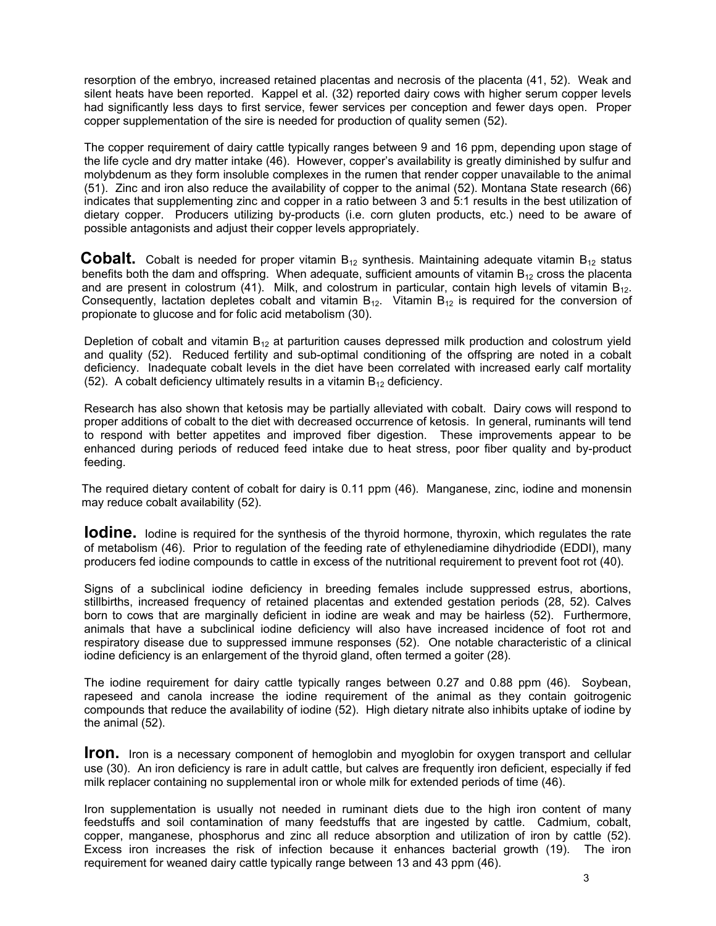resorption of the embryo, increased retained placentas and necrosis of the placenta (41, 52). Weak and silent heats have been reported. Kappel et al. (32) reported dairy cows with higher serum copper levels had significantly less days to first service, fewer services per conception and fewer days open. Proper copper supplementation of the sire is needed for production of quality semen (52).

The copper requirement of dairy cattle typically ranges between 9 and 16 ppm, depending upon stage of the life cycle and dry matter intake (46). However, copper's availability is greatly diminished by sulfur and molybdenum as they form insoluble complexes in the rumen that render copper unavailable to the animal (51). Zinc and iron also reduce the availability of copper to the animal (52). Montana State research (66) indicates that supplementing zinc and copper in a ratio between 3 and 5:1 results in the best utilization of dietary copper. Producers utilizing by-products (i.e. corn gluten products, etc.) need to be aware of possible antagonists and adjust their copper levels appropriately.

**Cobalt.** Cobalt is needed for proper vitamin  $B_{12}$  synthesis. Maintaining adequate vitamin  $B_{12}$  status benefits both the dam and offspring. When adequate, sufficient amounts of vitamin  $B_{12}$  cross the placenta and are present in colostrum (41). Milk, and colostrum in particular, contain high levels of vitamin  $B_{12}$ . Consequently, lactation depletes cobalt and vitamin  $B_{12}$ . Vitamin  $B_{12}$  is required for the conversion of propionate to glucose and for folic acid metabolism (30).

Depletion of cobalt and vitamin  $B_{12}$  at parturition causes depressed milk production and colostrum yield and quality (52). Reduced fertility and sub-optimal conditioning of the offspring are noted in a cobalt deficiency. Inadequate cobalt levels in the diet have been correlated with increased early calf mortality (52). A cobalt deficiency ultimately results in a vitamin  $B_{12}$  deficiency.

Research has also shown that ketosis may be partially alleviated with cobalt. Dairy cows will respond to proper additions of cobalt to the diet with decreased occurrence of ketosis. In general, ruminants will tend to respond with better appetites and improved fiber digestion. These improvements appear to be enhanced during periods of reduced feed intake due to heat stress, poor fiber quality and by-product feeding.

The required dietary content of cobalt for dairy is 0.11 ppm (46). Manganese, zinc, iodine and monensin may reduce cobalt availability (52).

**Iodine.** Iodine is required for the synthesis of the thyroid hormone, thyroxin, which regulates the rate of metabolism (46). Prior to regulation of the feeding rate of ethylenediamine dihydriodide (EDDI), many producers fed iodine compounds to cattle in excess of the nutritional requirement to prevent foot rot (40).

Signs of a subclinical iodine deficiency in breeding females include suppressed estrus, abortions, stillbirths, increased frequency of retained placentas and extended gestation periods (28, 52). Calves born to cows that are marginally deficient in iodine are weak and may be hairless (52). Furthermore, animals that have a subclinical iodine deficiency will also have increased incidence of foot rot and respiratory disease due to suppressed immune responses (52). One notable characteristic of a clinical iodine deficiency is an enlargement of the thyroid gland, often termed a goiter (28).

The iodine requirement for dairy cattle typically ranges between 0.27 and 0.88 ppm (46). Soybean, rapeseed and canola increase the iodine requirement of the animal as they contain goitrogenic compounds that reduce the availability of iodine (52). High dietary nitrate also inhibits uptake of iodine by the animal (52).

**Iron.** Iron is a necessary component of hemoglobin and myoglobin for oxygen transport and cellular use (30). An iron deficiency is rare in adult cattle, but calves are frequently iron deficient, especially if fed milk replacer containing no supplemental iron or whole milk for extended periods of time (46).

Iron supplementation is usually not needed in ruminant diets due to the high iron content of many feedstuffs and soil contamination of many feedstuffs that are ingested by cattle. Cadmium, cobalt, copper, manganese, phosphorus and zinc all reduce absorption and utilization of iron by cattle (52). Excess iron increases the risk of infection because it enhances bacterial growth (19). The iron requirement for weaned dairy cattle typically range between 13 and 43 ppm (46).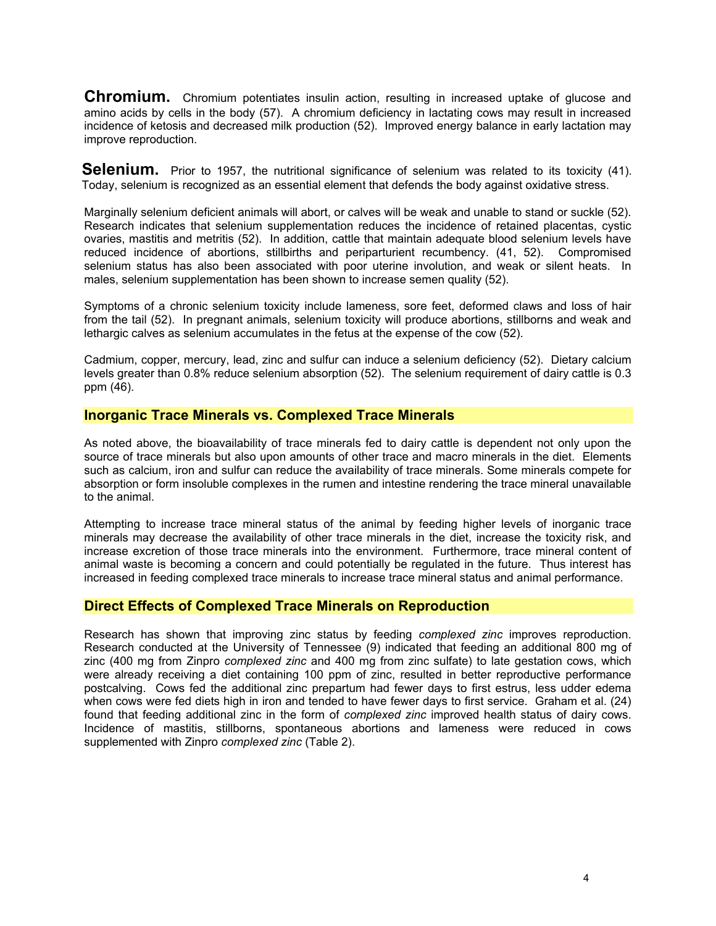**Chromium.** Chromium potentiates insulin action, resulting in increased uptake of glucose and amino acids by cells in the body (57). A chromium deficiency in lactating cows may result in increased incidence of ketosis and decreased milk production (52). Improved energy balance in early lactation may improve reproduction.

**Selenium.** Prior to 1957, the nutritional significance of selenium was related to its toxicity (41). Today, selenium is recognized as an essential element that defends the body against oxidative stress.

Marginally selenium deficient animals will abort, or calves will be weak and unable to stand or suckle (52). Research indicates that selenium supplementation reduces the incidence of retained placentas, cystic ovaries, mastitis and metritis (52). In addition, cattle that maintain adequate blood selenium levels have reduced incidence of abortions, stillbirths and periparturient recumbency. (41, 52). Compromised selenium status has also been associated with poor uterine involution, and weak or silent heats. In males, selenium supplementation has been shown to increase semen quality (52).

Symptoms of a chronic selenium toxicity include lameness, sore feet, deformed claws and loss of hair from the tail (52). In pregnant animals, selenium toxicity will produce abortions, stillborns and weak and lethargic calves as selenium accumulates in the fetus at the expense of the cow (52).

Cadmium, copper, mercury, lead, zinc and sulfur can induce a selenium deficiency (52). Dietary calcium levels greater than 0.8% reduce selenium absorption (52). The selenium requirement of dairy cattle is 0.3 ppm (46).

#### **Inorganic Trace Minerals vs. Complexed Trace Minerals**

As noted above, the bioavailability of trace minerals fed to dairy cattle is dependent not only upon the source of trace minerals but also upon amounts of other trace and macro minerals in the diet. Elements such as calcium, iron and sulfur can reduce the availability of trace minerals. Some minerals compete for absorption or form insoluble complexes in the rumen and intestine rendering the trace mineral unavailable to the animal.

Attempting to increase trace mineral status of the animal by feeding higher levels of inorganic trace minerals may decrease the availability of other trace minerals in the diet, increase the toxicity risk, and increase excretion of those trace minerals into the environment. Furthermore, trace mineral content of animal waste is becoming a concern and could potentially be regulated in the future. Thus interest has increased in feeding complexed trace minerals to increase trace mineral status and animal performance.

## **Direct Effects of Complexed Trace Minerals on Reproduction**

Research has shown that improving zinc status by feeding *complexed zinc* improves reproduction. Research conducted at the University of Tennessee (9) indicated that feeding an additional 800 mg of zinc (400 mg from Zinpro *complexed zinc* and 400 mg from zinc sulfate) to late gestation cows, which were already receiving a diet containing 100 ppm of zinc, resulted in better reproductive performance postcalving. Cows fed the additional zinc prepartum had fewer days to first estrus, less udder edema when cows were fed diets high in iron and tended to have fewer days to first service. Graham et al. (24) found that feeding additional zinc in the form of *complexed zinc* improved health status of dairy cows. Incidence of mastitis, stillborns, spontaneous abortions and lameness were reduced in cows supplemented with Zinpro *complexed zinc* (Table 2).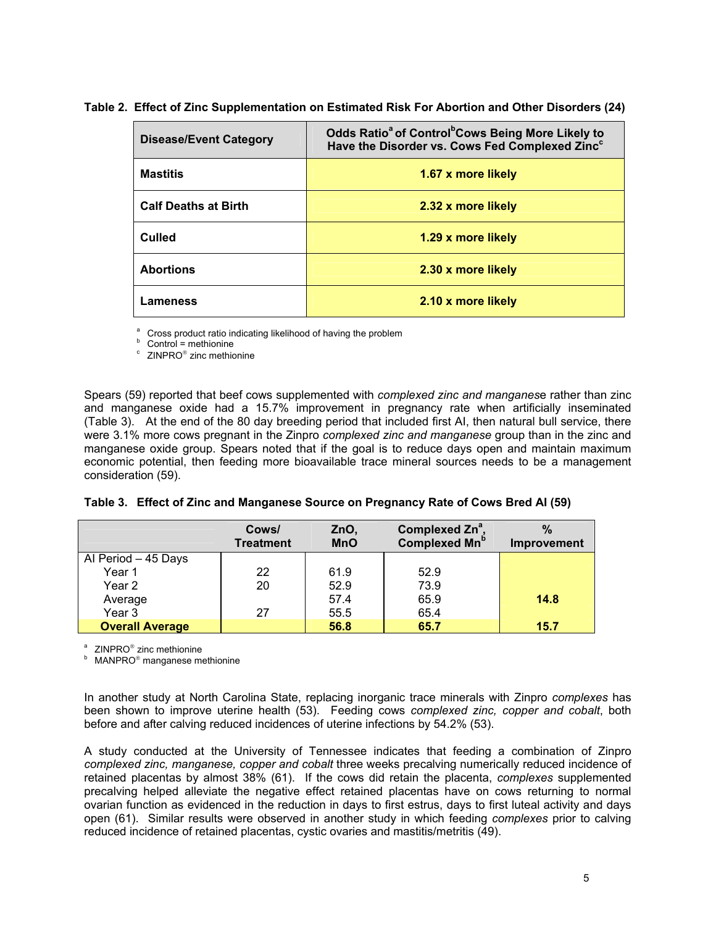#### **Table 2. Effect of Zinc Supplementation on Estimated Risk For Abortion and Other Disorders (24)**

| <b>Disease/Event Category</b> | Odds Ratio <sup>a</sup> of Control <sup>b</sup> Cows Being More Likely to<br>Have the Disorder vs. Cows Fed Complexed Zinc <sup>c</sup> |  |
|-------------------------------|-----------------------------------------------------------------------------------------------------------------------------------------|--|
| <b>Mastitis</b>               | 1.67 x more likely                                                                                                                      |  |
| <b>Calf Deaths at Birth</b>   | 2.32 x more likely                                                                                                                      |  |
| <b>Culled</b>                 | 1.29 x more likely                                                                                                                      |  |
| <b>Abortions</b>              | 2.30 x more likely                                                                                                                      |  |
| Lameness                      | 2.10 x more likely                                                                                                                      |  |

<sup>a</sup> Cross product ratio indicating likelihood of having the problem b Control = methionine c ZINPRO<sup>®</sup> zinc methionine

Spears (59) reported that beef cows supplemented with *complexed zinc and manganes*e rather than zinc and manganese oxide had a 15.7% improvement in pregnancy rate when artificially inseminated (Table 3). At the end of the 80 day breeding period that included first AI, then natural bull service, there were 3.1% more cows pregnant in the Zinpro *complexed zinc and manganese* group than in the zinc and manganese oxide group. Spears noted that if the goal is to reduce days open and maintain maximum economic potential, then feeding more bioavailable trace mineral sources needs to be a management consideration (59).

|  | Table 3. Effect of Zinc and Manganese Source on Pregnancy Rate of Cows Bred AI (59) |  |  |  |
|--|-------------------------------------------------------------------------------------|--|--|--|
|--|-------------------------------------------------------------------------------------|--|--|--|

|                        | Cows/<br><b>Treatment</b> | ZnO,<br><b>MnO</b> | Complexed Zn <sup>a</sup><br>Complexed Mn <sup>b</sup> | $\%$<br>Improvement |
|------------------------|---------------------------|--------------------|--------------------------------------------------------|---------------------|
| Al Period - 45 Days    |                           |                    |                                                        |                     |
| Year 1                 | 22                        | 61.9               | 52.9                                                   |                     |
| Year <sub>2</sub>      | 20                        | 52.9               | 73.9                                                   |                     |
| Average                |                           | 57.4               | 65.9                                                   | 14.8                |
| Year <sub>3</sub>      | 27                        | 55.5               | 65.4                                                   |                     |
| <b>Overall Average</b> |                           | 56.8               | 65.7                                                   | 15.7                |

<sup>a</sup> ZINPRO<sup>®</sup> zinc methionine<br><sup>b</sup> MANPRO<sup>®</sup> manganese methionine

In another study at North Carolina State, replacing inorganic trace minerals with Zinpro *complexes* has been shown to improve uterine health (53). Feeding cows *complexed zinc, copper and cobalt*, both before and after calving reduced incidences of uterine infections by 54.2% (53).

A study conducted at the University of Tennessee indicates that feeding a combination of Zinpro *complexed zinc, manganese, copper and cobalt* three weeks precalving numerically reduced incidence of retained placentas by almost 38% (61). If the cows did retain the placenta, *complexes* supplemented precalving helped alleviate the negative effect retained placentas have on cows returning to normal ovarian function as evidenced in the reduction in days to first estrus, days to first luteal activity and days open (61). Similar results were observed in another study in which feeding *complexes* prior to calving reduced incidence of retained placentas, cystic ovaries and mastitis/metritis (49).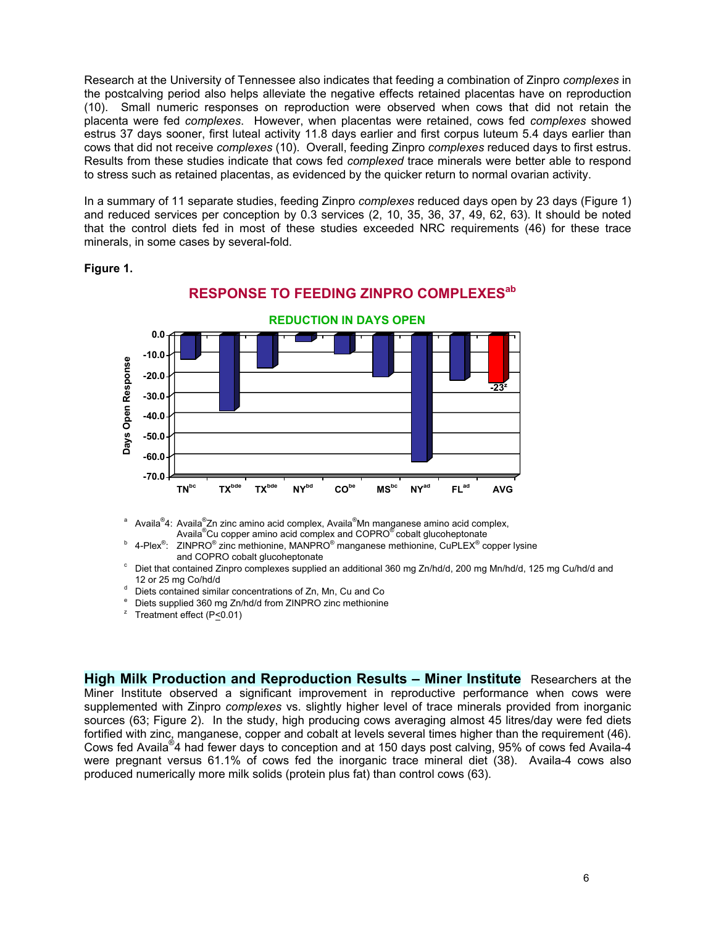Research at the University of Tennessee also indicates that feeding a combination of Zinpro *complexes* in the postcalving period also helps alleviate the negative effects retained placentas have on reproduction (10). Small numeric responses on reproduction were observed when cows that did not retain the placenta were fed *complexes*. However, when placentas were retained, cows fed *complexes* showed estrus 37 days sooner, first luteal activity 11.8 days earlier and first corpus luteum 5.4 days earlier than cows that did not receive *complexes* (10). Overall, feeding Zinpro *complexes* reduced days to first estrus. Results from these studies indicate that cows fed *complexed* trace minerals were better able to respond to stress such as retained placentas, as evidenced by the quicker return to normal ovarian activity.

In a summary of 11 separate studies, feeding Zinpro *complexes* reduced days open by 23 days (Figure 1) and reduced services per conception by 0.3 services (2, 10, 35, 36, 37, 49, 62, 63). It should be noted that the control diets fed in most of these studies exceeded NRC requirements (46) for these trace minerals, in some cases by several-fold.

#### **Figure 1.**



# **RESPONSE TO FEEDING ZINPRO COMPLEXESab**

- a Availa<sup>®</sup>4: Availa<sup>®</sup>Zn zinc amino acid complex, Availa<sup>®</sup>Mn manganese amino acid complex, Availa<sup>®</sup>Cu copper amino acid complex and COPRO<sup>®</sup> cobalt glucoheptonate<br><sup>b</sup> 4 Dlav<sup>®</sup> - ZINDRO® rise mathioning MANDRO® managenese mathioning CuPLEX® se
- $4$ -Plex<sup>®</sup>: : ZINPRO<sup>®</sup> zinc methionine, MANPRO<sup>®</sup> manganese methionine, CuPLEX<sup>®</sup> copper lysine and COPRO cobalt glucoheptonate
- <sup>c</sup> Diet that contained Zinpro complexes supplied an additional 360 mg Zn/hd/d, 200 mg Mn/hd/d, 125 mg Cu/hd/d and 12 or 25 mg Co/hd/d<br><sup>d</sup> Diete contained eimil
- $\degree$  Diets contained similar concentrations of Zn, Mn, Cu and Co  $\degree$  Diets cunnlied 360 mg Zn/bd/d from ZINDDO rine methioning
- Diets supplied 360 mg Zn/hd/d from ZINPRO zinc methionine
- <sup>z</sup> Treatment effect (P $\leq$ 0.01)

**High Milk Production and Reproduction Results – Miner Institute** Researchers at the Miner Institute observed a significant improvement in reproductive performance when cows were supplemented with Zinpro *complexes* vs. slightly higher level of trace minerals provided from inorganic sources (63; Figure 2). In the study, high producing cows averaging almost 45 litres/day were fed diets fortified with zinc, manganese, copper and cobalt at levels several times higher than the requirement (46). Cows fed Availa<sup>®</sup>4 had fewer days to conception and at 150 days post calving, 95% of cows fed Availa-4 were pregnant versus 61.1% of cows fed the inorganic trace mineral diet (38). Availa-4 cows also produced numerically more milk solids (protein plus fat) than control cows (63).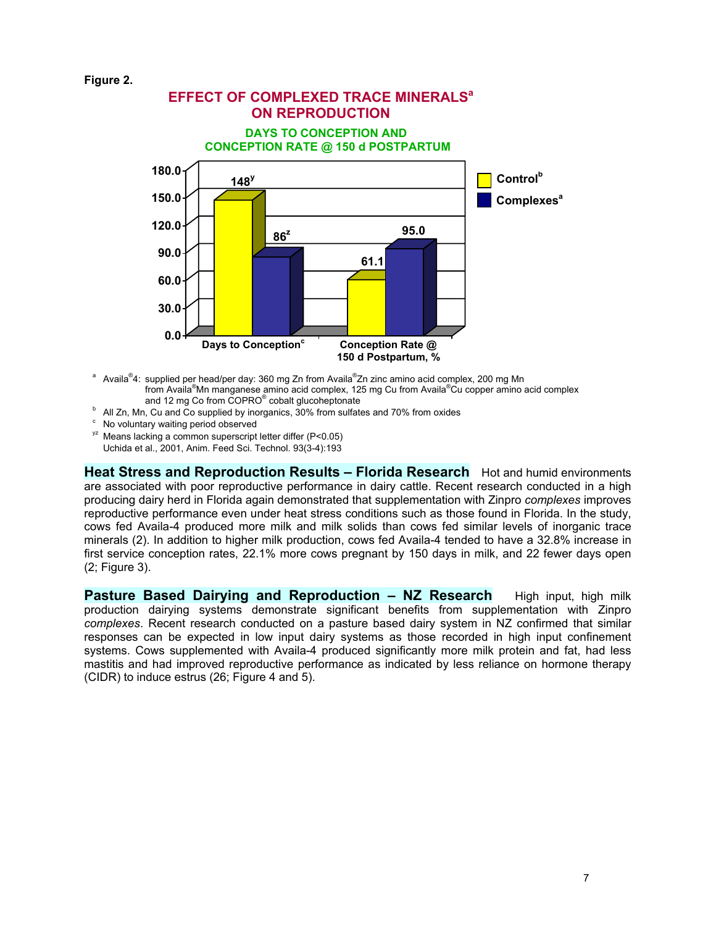



- a Availa<sup>®</sup>4: supplied per head/per day: 360 mg Zn from Availa<sup>®</sup>Zn zinc amino acid complex, 200 mg Mn from Availa® Mn manganese amino acid complex, 125 mg Cu from Availa® Cu copper amino acid complex and 12 mg Co from COPRO® cobalt glucoheptonate
- and 12 mg Co from COPRO<sup>®</sup> cobalt glucoheptonate<br><sup>b</sup> All Zn, Mn, Cu and Co supplied by inorganics, 30% from sulfates and 70% from oxides
- c  $\frac{c}{yz}$  No voluntary waiting period observed
- Means lacking a common superscript letter differ (P<0.05) Uchida et al., 2001, Anim. Feed Sci. Technol. 93(3-4):193

**Heat Stress and Reproduction Results – Florida Research** Hot and humid environments are associated with poor reproductive performance in dairy cattle. Recent research conducted in a high producing dairy herd in Florida again demonstrated that supplementation with Zinpro *complexes* improves reproductive performance even under heat stress conditions such as those found in Florida. In the study, cows fed Availa-4 produced more milk and milk solids than cows fed similar levels of inorganic trace minerals (2). In addition to higher milk production, cows fed Availa-4 tended to have a 32.8% increase in first service conception rates, 22.1% more cows pregnant by 150 days in milk, and 22 fewer days open (2; Figure 3).

**Pasture Based Dairying and Reproduction - NZ Research** High input, high milk production dairying systems demonstrate significant benefits from supplementation with Zinpro *complexes*. Recent research conducted on a pasture based dairy system in NZ confirmed that similar responses can be expected in low input dairy systems as those recorded in high input confinement systems. Cows supplemented with Availa-4 produced significantly more milk protein and fat, had less mastitis and had improved reproductive performance as indicated by less reliance on hormone therapy (CIDR) to induce estrus (26; Figure 4 and 5).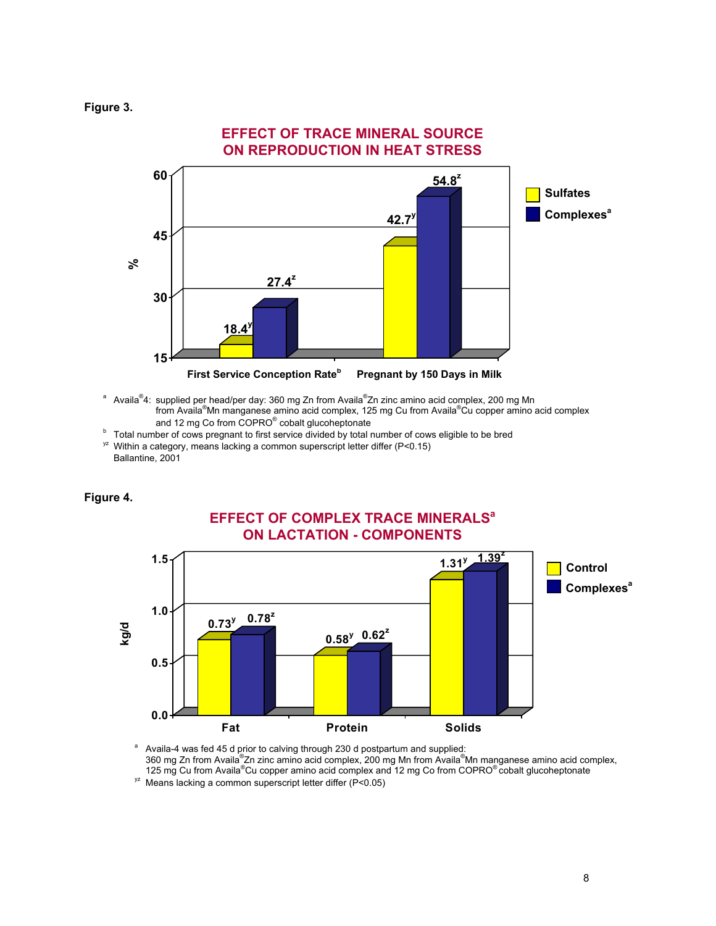



- <sup>a</sup> Availa®4: supplied per head/per day: 360 mg Zn from Availa®Zn zinc amino acid complex, 200 mg Mn from Availa® Mn manganese amino acid complex, 125 mg Cu from Availa® Cu copper amino acid complex and 12 mg Co from COPRO® cobalt glucoheptonate
- and 12 mg Co from COPRO<sup>®</sup> cobalt glucoheptonate<br><sup>b</sup> Total number of cows pregnant to first service divided by total number of cows eligible to be bred
- $\frac{y^2}{x^2}$  Within a category, means lacking a common superscript letter differ (P<0.15) Ballantine, 2001

#### **Figure 4.**



a Availa-4 was fed 45 d prior to calving through 230 d postpartum and supplied: 360 mg Zn from Availa®Zn zinc amino acid complex, 200 mg Mn from Availa®Mn manganese amino acid complex,<br>125 mg Cu from Availa®Cu copper amino acid complex and 12 mg Co from COPRO® cobalt glucoheptonate

 $<sup>yz</sup>$  Means lacking a common superscript letter differ (P<0.05)</sup>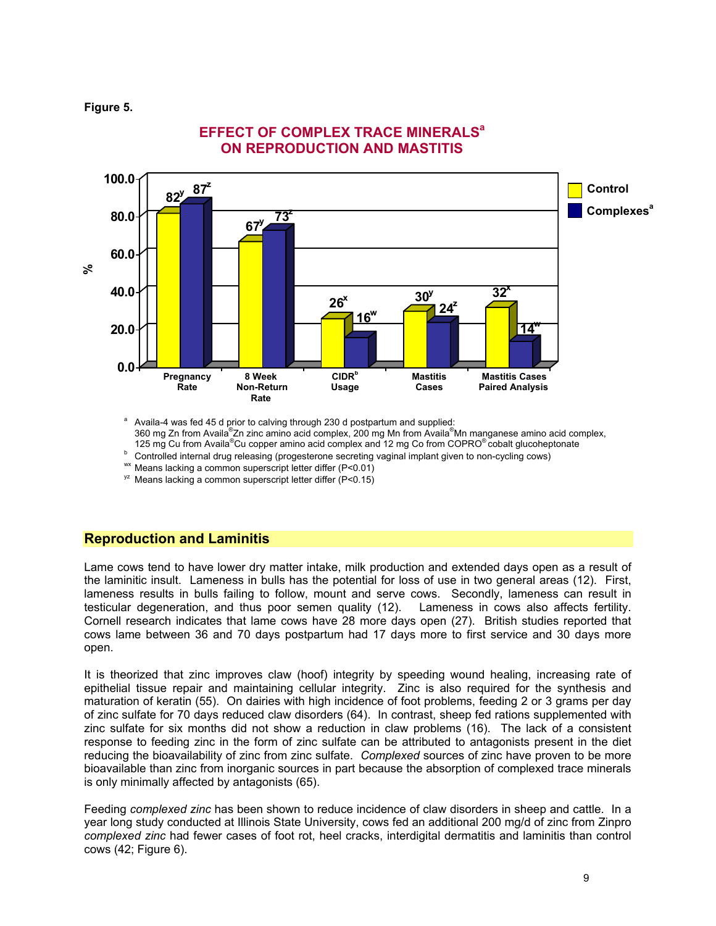**Figure 5.** 



EFFECT OF COMPLEX TRACE MINERALS<sup>a</sup> **ON REPRODUCTION AND MASTITIS** 

a Availa-4 was fed 45 d prior to calving through 230 d postpartum and supplied: 360 mg Zn from Availa®Zn zinc amino acid complex, 200 mg Mn from Availa®Mn manganese amino acid complex, 125 mg Cu from Availa®Cu copper amino acid complex and 12 mg Co from COPRO® cobalt glucoheptonate

- $\overline{p}$  Controlled internal drug releasing (progesterone secreting vaginal implant given to non-cycling cows)<br>
 Means lacking a common superscript letter differ (P<0.01)
- 
- $<sup>yz</sup>$  Means lacking a common superscript letter differ (P<0.15)</sup>

# **Reproduction and Laminitis**

Lame cows tend to have lower dry matter intake, milk production and extended days open as a result of the laminitic insult. Lameness in bulls has the potential for loss of use in two general areas (12). First, lameness results in bulls failing to follow, mount and serve cows. Secondly, lameness can result in testicular degeneration, and thus poor semen quality (12). Lameness in cows also affects fertility. Cornell research indicates that lame cows have 28 more days open (27). British studies reported that cows lame between 36 and 70 days postpartum had 17 days more to first service and 30 days more open.

It is theorized that zinc improves claw (hoof) integrity by speeding wound healing, increasing rate of epithelial tissue repair and maintaining cellular integrity. Zinc is also required for the synthesis and maturation of keratin (55). On dairies with high incidence of foot problems, feeding 2 or 3 grams per day of zinc sulfate for 70 days reduced claw disorders (64). In contrast, sheep fed rations supplemented with zinc sulfate for six months did not show a reduction in claw problems (16). The lack of a consistent response to feeding zinc in the form of zinc sulfate can be attributed to antagonists present in the diet reducing the bioavailability of zinc from zinc sulfate. *Complexed* sources of zinc have proven to be more bioavailable than zinc from inorganic sources in part because the absorption of complexed trace minerals is only minimally affected by antagonists (65).

Feeding *complexed zinc* has been shown to reduce incidence of claw disorders in sheep and cattle. In a year long study conducted at Illinois State University, cows fed an additional 200 mg/d of zinc from Zinpro *complexed zinc* had fewer cases of foot rot, heel cracks, interdigital dermatitis and laminitis than control cows (42; Figure 6).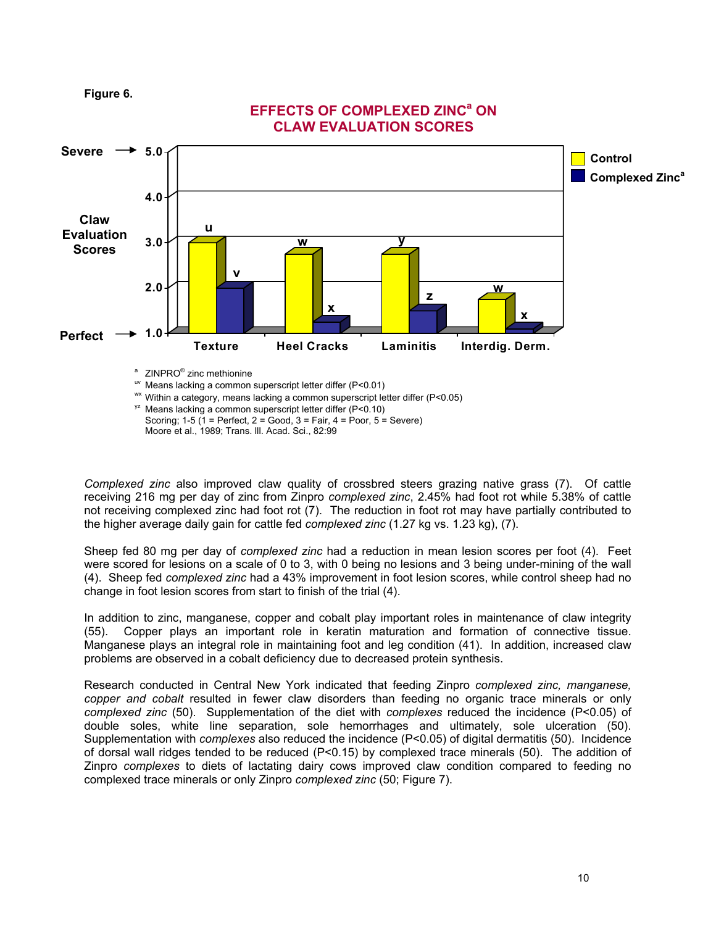



*Complexed zinc* also improved claw quality of crossbred steers grazing native grass (7). Of cattle receiving 216 mg per day of zinc from Zinpro *complexed zinc*, 2.45% had foot rot while 5.38% of cattle not receiving complexed zinc had foot rot (7). The reduction in foot rot may have partially contributed to the higher average daily gain for cattle fed *complexed zinc* (1.27 kg vs. 1.23 kg), (7).

Sheep fed 80 mg per day of *complexed zinc* had a reduction in mean lesion scores per foot (4). Feet were scored for lesions on a scale of 0 to 3, with 0 being no lesions and 3 being under-mining of the wall (4). Sheep fed *complexed zinc* had a 43% improvement in foot lesion scores, while control sheep had no change in foot lesion scores from start to finish of the trial (4).

In addition to zinc, manganese, copper and cobalt play important roles in maintenance of claw integrity (55). Copper plays an important role in keratin maturation and formation of connective tissue. Manganese plays an integral role in maintaining foot and leg condition (41). In addition, increased claw problems are observed in a cobalt deficiency due to decreased protein synthesis.

Research conducted in Central New York indicated that feeding Zinpro *complexed zinc, manganese, copper and cobalt* resulted in fewer claw disorders than feeding no organic trace minerals or only *complexed zinc* (50). Supplementation of the diet with *complexes* reduced the incidence (P<0.05) of double soles, white line separation, sole hemorrhages and ultimately, sole ulceration (50). Supplementation with *complexes* also reduced the incidence (P<0.05) of digital dermatitis (50). Incidence of dorsal wall ridges tended to be reduced (P<0.15) by complexed trace minerals (50). The addition of Zinpro *complexes* to diets of lactating dairy cows improved claw condition compared to feeding no complexed trace minerals or only Zinpro *complexed zinc* (50; Figure 7).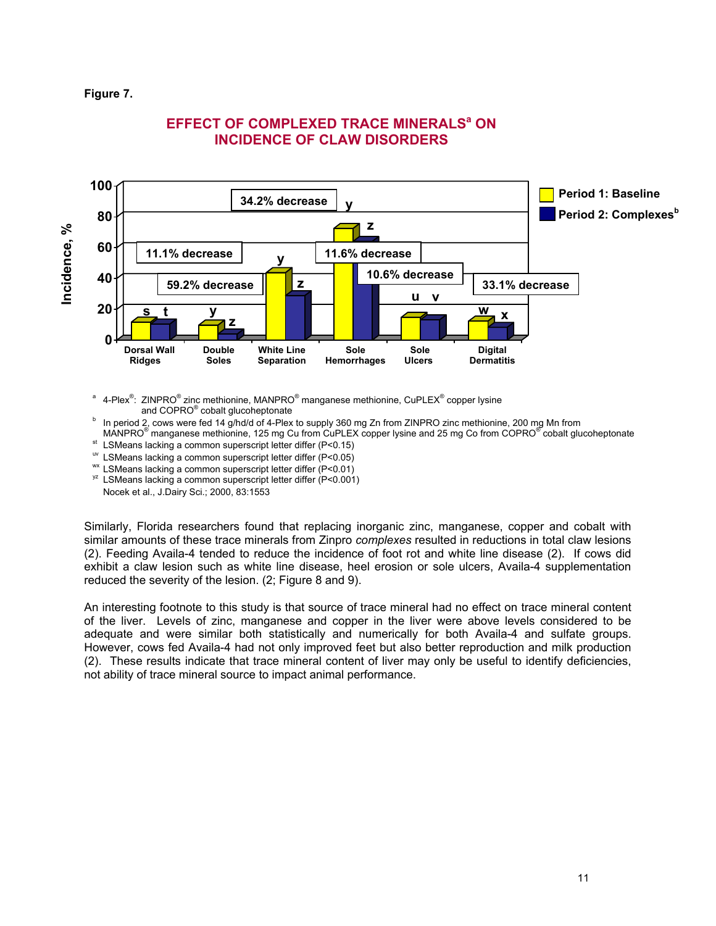**Figure 7.** 



# **EFFECT OF COMPLEXED TRACE MINERALS<sup>a</sup> ON INCIDENCE OF CLAW DISORDERS**

<sup>a</sup> 4-Plex<sup>®</sup>: ZINPRO<sup>®</sup> zinc methionine, MANPRO<sup>®</sup> manganese methionine, CuPLEX<sup>®</sup> copper lysine and COPRO<sup>®</sup> cobalt glucoheptonate

<sup>b</sup> In period 2, cows were fed 14 g/hd/d of 4-Plex to supply 360 mg Zn from ZINPRO zinc methionine, 200 mg Mn from <code>MANPRO®</code> manganese methionine, 125 mg Cu from CuPLEX copper lysine and 25 mg Co from COPRO®</code>

Extra and the common superscript letter differ (P<0.15)<br>
LSMeans lacking a common superscript letter differ (P<0.05)

wx LSMeans lacking a common superscript letter differ (P<0.01)  $\frac{y}{z}$  LSMeans lacking a common superscript letter differ (P<0.001)

Nocek et al., J.Dairy Sci.; 2000, 83:1553

Similarly, Florida researchers found that replacing inorganic zinc, manganese, copper and cobalt with similar amounts of these trace minerals from Zinpro *complexes* resulted in reductions in total claw lesions (2). Feeding Availa-4 tended to reduce the incidence of foot rot and white line disease (2). If cows did exhibit a claw lesion such as white line disease, heel erosion or sole ulcers, Availa-4 supplementation reduced the severity of the lesion. (2; Figure 8 and 9).

An interesting footnote to this study is that source of trace mineral had no effect on trace mineral content of the liver. Levels of zinc, manganese and copper in the liver were above levels considered to be adequate and were similar both statistically and numerically for both Availa-4 and sulfate groups. However, cows fed Availa-4 had not only improved feet but also better reproduction and milk production (2). These results indicate that trace mineral content of liver may only be useful to identify deficiencies, not ability of trace mineral source to impact animal performance.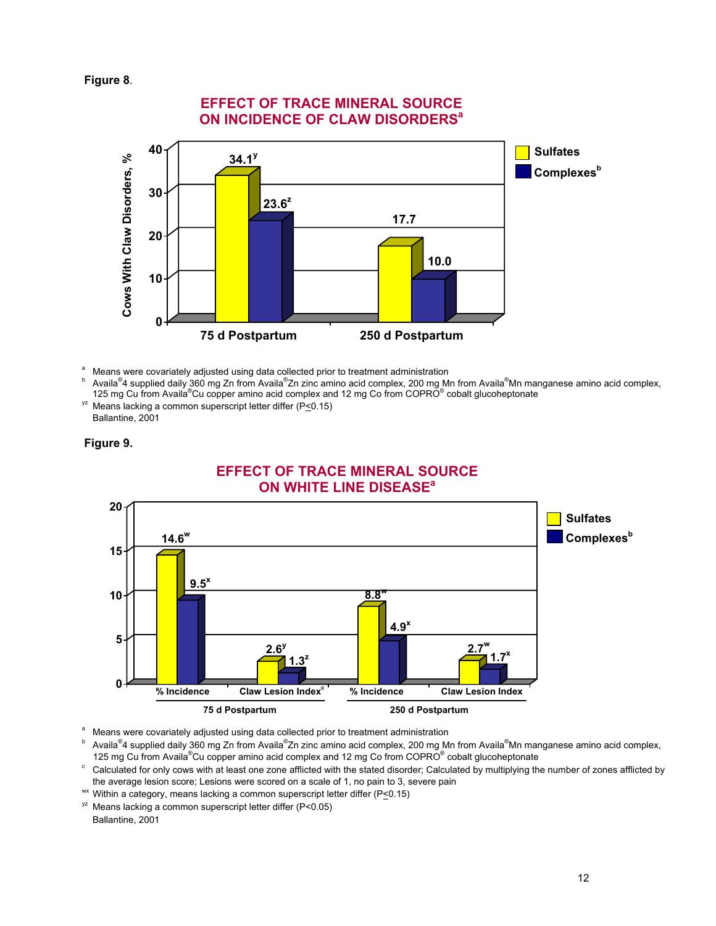



<sup>a</sup> Means were covariately adjusted using data collected prior to treatment administration

- ª Means were covariately adjusted using data collected prior to treatment administration<br><sup>b</sup> Availa®4 supplied daily 360 mg Zn from Availa®Zn zinc amino acid complex, 200 mg Mn from Availa®Mn manganese amino acid complex, 125 mg Cu from Availa®Cu copper amino acid complex and 12 mg Co from COPRO® cobalt glucoheptonate  $y^2$  Means lacking a common superscript letter differ (P<u><</u>0.15)
- Ballantine, 2001



# **EFFECT OF TRACE MINERAL SOURCE ON WHITE LINE DISEASEa**



a Means were covariately adjusted using data collected prior to treatment administration

- ª Means were covariately adjusted using data collected prior to treatment administration<br><sup>b</sup> Availa®4 supplied daily 360 mg Zn from Availa®Zn zinc amino acid complex, 200 mg Mn from Availa®Mn manganese amino acid complex, 125 mg Cu from Availa® Cu copper amino acid complex and 12 mg Co from COPRO®
- colculated for only cows with at least one zone afflicted with the stated disorder; Calculated by multiplying the number of zones afflicted by the average lesion score; Lesions were scored on a scale of 1, no pain to 3, severe pain w Within a category, means lacking a common superscript letter differ ( $P \le 0.15$ )<br><sup>yz</sup> Means lacking a common superscript letter di
- 
- Ballantine, 2001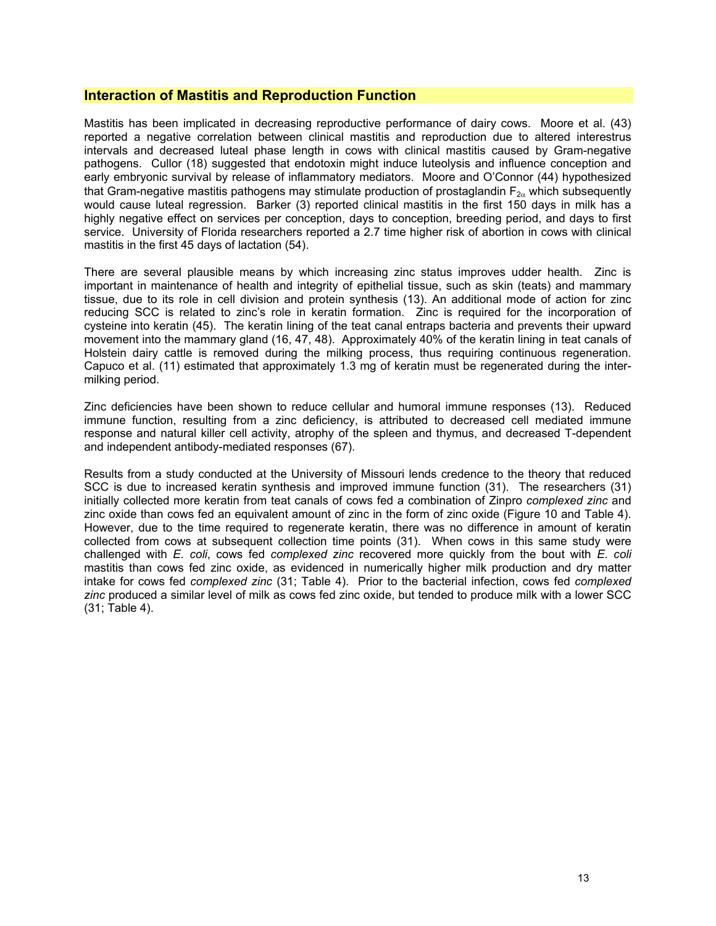## **Interaction of Mastitis and Reproduction Function**

Mastitis has been implicated in decreasing reproductive performance of dairy cows. Moore et al. (43) reported a negative correlation between clinical mastitis and reproduction due to altered interestrus intervals and decreased luteal phase length in cows with clinical mastitis caused by Gram-negative pathogens. Cullor (18) suggested that endotoxin might induce luteolysis and influence conception and early embryonic survival by release of inflammatory mediators. Moore and O'Connor (44) hypothesized that Gram-negative mastitis pathogens may stimulate production of prostaglandin  $F_{2\alpha}$  which subsequently would cause luteal regression. Barker (3) reported clinical mastitis in the first 150 days in milk has a highly negative effect on services per conception, days to conception, breeding period, and days to first service. University of Florida researchers reported a 2.7 time higher risk of abortion in cows with clinical mastitis in the first 45 days of lactation (54).

There are several plausible means by which increasing zinc status improves udder health. Zinc is important in maintenance of health and integrity of epithelial tissue, such as skin (teats) and mammary tissue, due to its role in cell division and protein synthesis (13). An additional mode of action for zinc reducing SCC is related to zinc's role in keratin formation. Zinc is required for the incorporation of cysteine into keratin (45). The keratin lining of the teat canal entraps bacteria and prevents their upward movement into the mammary gland (16, 47, 48). Approximately 40% of the keratin lining in teat canals of Holstein dairy cattle is removed during the milking process, thus requiring continuous regeneration. Capuco et al. (11) estimated that approximately 1.3 mg of keratin must be regenerated during the intermilking period.

Zinc deficiencies have been shown to reduce cellular and humoral immune responses (13). Reduced immune function, resulting from a zinc deficiency, is attributed to decreased cell mediated immune response and natural killer cell activity, atrophy of the spleen and thymus, and decreased T-dependent and independent antibody-mediated responses (67).

Results from a study conducted at the University of Missouri lends credence to the theory that reduced SCC is due to increased keratin synthesis and improved immune function (31). The researchers (31) initially collected more keratin from teat canals of cows fed a combination of Zinpro *complexed zinc* and zinc oxide than cows fed an equivalent amount of zinc in the form of zinc oxide (Figure 10 and Table 4). However, due to the time required to regenerate keratin, there was no difference in amount of keratin collected from cows at subsequent collection time points (31). When cows in this same study were challenged with *E. coli*, cows fed *complexed zinc* recovered more quickly from the bout with *E. coli* mastitis than cows fed zinc oxide, as evidenced in numerically higher milk production and dry matter intake for cows fed *complexed zinc* (31; Table 4). Prior to the bacterial infection, cows fed *complexed zinc* produced a similar level of milk as cows fed zinc oxide, but tended to produce milk with a lower SCC (31; Table 4).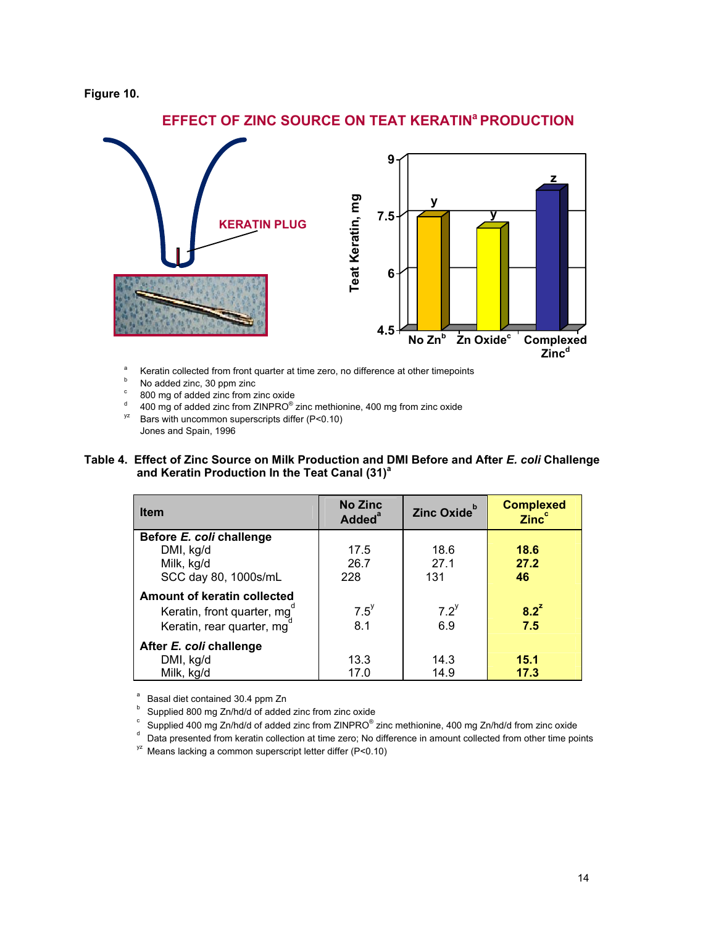#### **Figure 10.**



# **EFFECT OF ZINC SOURCE ON TEAT KERATIN<sup>a</sup> PRODUCTION**

- <sup>a</sup> Keratin collected from front quarter at time zero, no difference at other timepoints<br><sup>b</sup> No added zinc, 30 ppm zinc
- $b$  No added zinc, 30 ppm zinc
- 800 mg of added zinc from zinc oxide
- <sup>d</sup> 400 mg of added zinc from ZINPRO<sup>®</sup> zinc methionine, 400 mg from zinc oxide <br><sup>yz</sup> Bars with uncommon superscripts differ (P<0.10)
	- Jones and Spain, 1996

#### **Table 4. Effect of Zinc Source on Milk Production and DMI Before and After** *E. coli* **Challenge and Keratin Production In the Teat Canal (31)<sup>a</sup>**

| <b>Item</b>                        | <b>No Zinc</b><br><b>Added</b> <sup>ª</sup> | Zinc Oxide <sup>b</sup> | <b>Complexed</b><br><b>Zinc<sup>c</sup></b> |
|------------------------------------|---------------------------------------------|-------------------------|---------------------------------------------|
| Before E. coli challenge           |                                             |                         |                                             |
| DMI, kg/d                          | 17.5                                        | 18.6                    | 18.6                                        |
| Milk, kg/d                         | 26.7                                        | 27.1                    | 27.2                                        |
| SCC day 80, 1000s/mL               | 228                                         | 131                     | 46                                          |
| <b>Amount of keratin collected</b> |                                             |                         |                                             |
| Keratin, front quarter, mg         | $7.5^y$                                     | $7.2^y$                 | $8.2^z$                                     |
| Keratin, rear quarter, mg          | 8.1                                         | 6.9                     | 7.5                                         |
| After E. coli challenge            |                                             |                         |                                             |
| DMI, kg/d                          | 13.3                                        | 14.3                    | 15.1                                        |
| Milk, kg/d                         | 17.0                                        | 14.9                    | 17.3                                        |

a Basal diet contained 30.4 ppm Zn

- b Supplied 800 mg Zn/hd/d of added zinc from zinc oxide
- c Supplied 400 mg Zn/hd/d of added zinc from ZINPRO<sup>®</sup> zinc methionine, 400 mg Zn/hd/d from zinc oxide details and details and details are detailed to the details and details are detailed to the details and details are deta
- $\sigma$  Data presented from keratin collection at time zero; No difference in amount collected from other time points  $\gamma$  Means lacking a common superscript letter differ (P<0.10)
-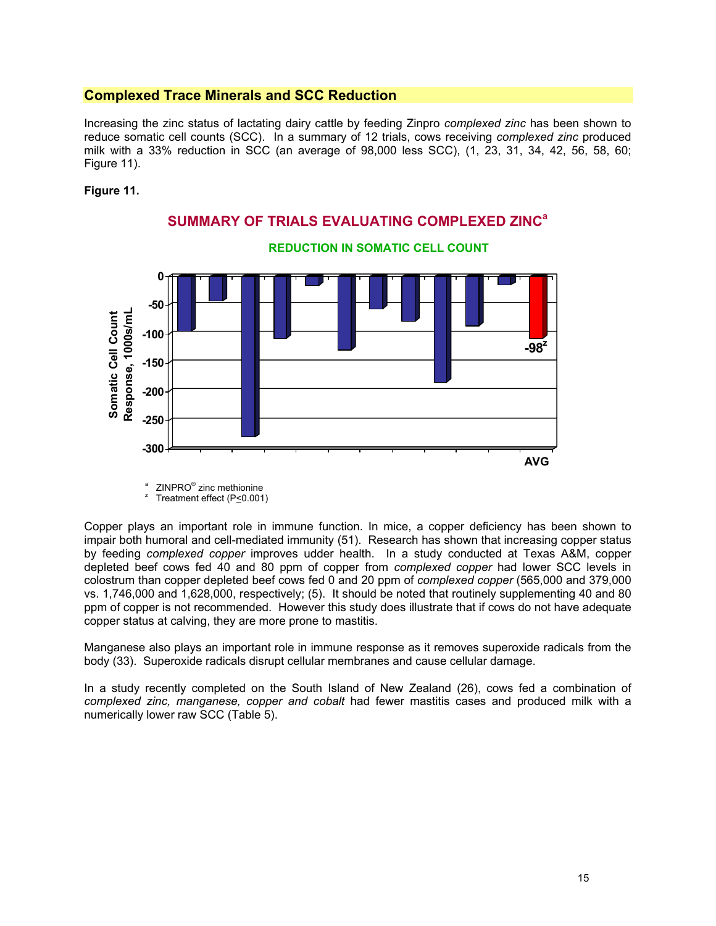# **Complexed Trace Minerals and SCC Reduction**

Increasing the zinc status of lactating dairy cattle by feeding Zinpro *complexed zinc* has been shown to reduce somatic cell counts (SCC). In a summary of 12 trials, cows receiving *complexed zinc* produced milk with a 33% reduction in SCC (an average of 98,000 less SCC), (1, 23, 31, 34, 42, 56, 58, 60; Figure 11).

**SUMMARY OF TRIALS EVALUATING COMPLEXED ZINCa** 

#### **Figure 11.**



#### **REDUCTION IN SOMATIC CELL COUNT**

<sup>a</sup> ZINPRO<sup>®</sup> zinc methionine<br><sup>z</sup> Treatment offect (B<0.001  $\frac{2}{10}$  Treatment effect (P<0.001)

Copper plays an important role in immune function. In mice, a copper deficiency has been shown to impair both humoral and cell-mediated immunity (51). Research has shown that increasing copper status by feeding *complexed copper* improves udder health. In a study conducted at Texas A&M, copper depleted beef cows fed 40 and 80 ppm of copper from *complexed copper* had lower SCC levels in colostrum than copper depleted beef cows fed 0 and 20 ppm of *complexed copper* (565,000 and 379,000 vs. 1,746,000 and 1,628,000, respectively; (5). It should be noted that routinely supplementing 40 and 80 ppm of copper is not recommended. However this study does illustrate that if cows do not have adequate copper status at calving, they are more prone to mastitis.

Manganese also plays an important role in immune response as it removes superoxide radicals from the body (33). Superoxide radicals disrupt cellular membranes and cause cellular damage.

In a study recently completed on the South Island of New Zealand (26), cows fed a combination of *complexed zinc, manganese, copper and cobalt* had fewer mastitis cases and produced milk with a numerically lower raw SCC (Table 5).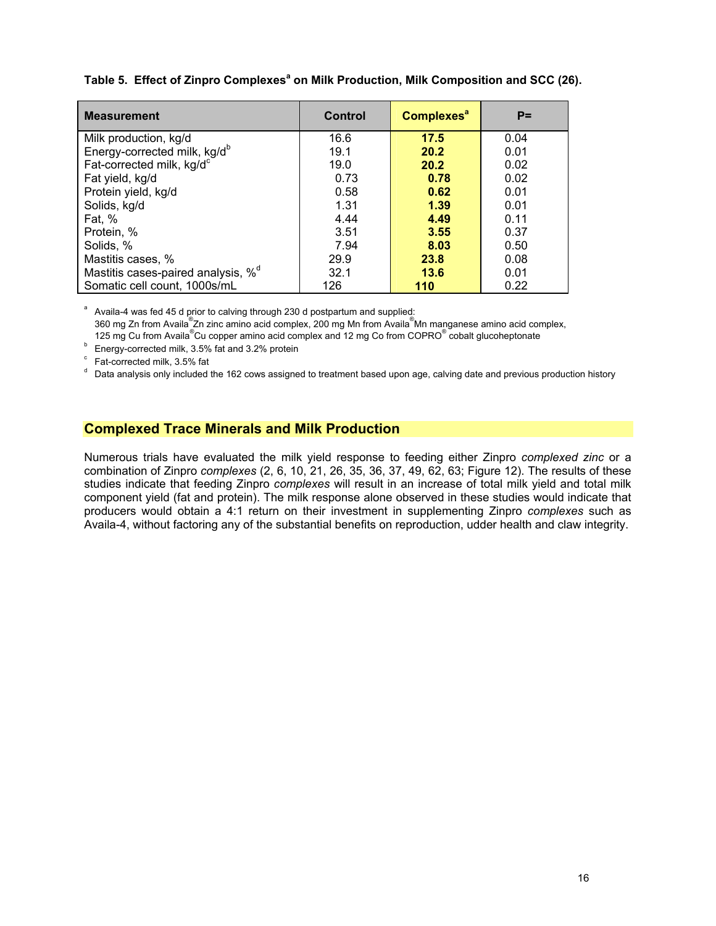| <b>Measurement</b>                             | <b>Control</b> | <b>Complexes<sup>a</sup></b> | $P =$ |
|------------------------------------------------|----------------|------------------------------|-------|
| Milk production, kg/d                          | 16.6           | 17.5                         | 0.04  |
| Energy-corrected milk, kg/d <sup>b</sup>       | 19.1           | 20.2                         | 0.01  |
| Fat-corrected milk, kg/d <sup>c</sup>          | 19.0           | 20.2                         | 0.02  |
| Fat yield, kg/d                                | 0.73           | 0.78                         | 0.02  |
| Protein yield, kg/d                            | 0.58           | 0.62                         | 0.01  |
| Solids, kg/d                                   | 1.31           | 1.39                         | 0.01  |
| Fat, %                                         | 4.44           | 4.49                         | 0.11  |
| Protein, %                                     | 3.51           | 3.55                         | 0.37  |
| Solids, %                                      | 7.94           | 8.03                         | 0.50  |
| Mastitis cases, %                              | 29.9           | 23.8                         | 0.08  |
| Mastitis cases-paired analysis, % <sup>d</sup> | 32.1           | 13.6                         | 0.01  |
| Somatic cell count, 1000s/mL                   | 126            | 110                          | 0.22  |

# Table 5. Effect of Zinpro Complexes<sup>a</sup> on Milk Production, Milk Composition and SCC (26).

a Availa-4 was fed 45 d prior to calving through 230 d postpartum and supplied: 360 mg Zn from Availa<sup>®</sup>Zn zinc amino acid complex, 200 mg Mn from Availa<sup>®</sup>Mn manganese amino acid complex, 125 mg Cu from Availa<sup>®</sup>Cu copper amino acid complex and 12 mg Co from COPRO<sup>®</sup> cobalt glucoheptonate

 $b$  Energy-corrected milk, 3.5% fat and 3.2% protein

c Fat-corrected milk, 3.5% fat

<sup>d</sup> Data analysis only included the 162 cows assigned to treatment based upon age, calving date and previous production history

## **Complexed Trace Minerals and Milk Production**

Numerous trials have evaluated the milk yield response to feeding either Zinpro *complexed zinc* or a combination of Zinpro *complexes* (2, 6, 10, 21, 26, 35, 36, 37, 49, 62, 63; Figure 12). The results of these studies indicate that feeding Zinpro *complexes* will result in an increase of total milk yield and total milk component yield (fat and protein). The milk response alone observed in these studies would indicate that producers would obtain a 4:1 return on their investment in supplementing Zinpro *complexes* such as Availa-4, without factoring any of the substantial benefits on reproduction, udder health and claw integrity.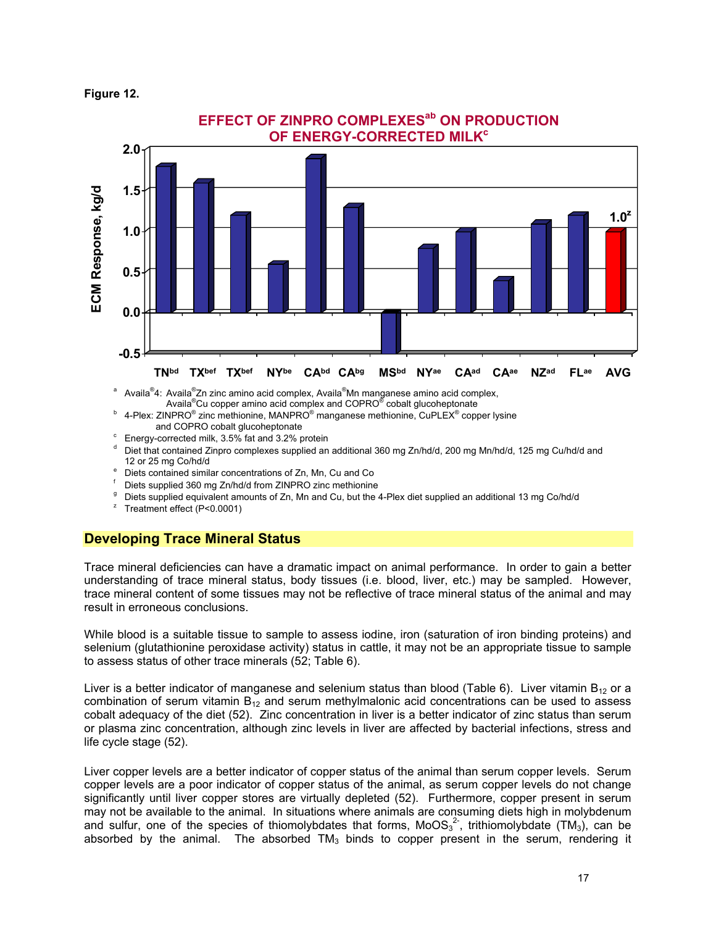**Figure 12.** 



- a Availa®4: Availa®Zn zinc amino acid complex, Availa®Mn manganese amino acid complex, Availa<sup>®</sup>Cu copper amino acid complex and COPRO<sup>®</sup> cobalt glucoheptonate<br><sup>b</sup> 4 Dlaw ZINDRO<sup>®</sup> gine methionine MANDRO<sup>®</sup> pregasesses methionine CuPLEX<sup>®</sup> serr
- 4-Plex: ZINPRO<sup>®</sup> zinc methionine, MANPRO<sup>®</sup> manganese methionine, CuPLEX<sup>®</sup> copper lysine and COPRO cobalt glucoheptonate
- Energy-corrected milk, 3.5% fat and 3.2% protein
- d Diet that contained Zinpro complexes supplied an additional 360 mg Zn/hd/d, 200 mg Mn/hd/d, 125 mg Cu/hd/d and<br>12 or 25 mg Co/hd/d 12 or 25 mg Co/hd/d
- <sup>e</sup> Diets contained similar concentrations of Zn, Mn, Cu and Co f<br>f. Diets cunnlied 360 mg Zn/hd/d from ZINDDO zine methioning
- Diets supplied 360 mg Zn/hd/d from ZINPRO zinc methionine
- <sup>9</sup> Diets supplied equivalent amounts of Zn, Mn and Cu, but the 4-Plex diet supplied an additional 13 mg Co/hd/d<br><sup>2</sup> Treatment offect (D<0,0001)
- <sup>2</sup> Treatment effect (P< $0.0001$ )

# **Developing Trace Mineral Status**

Trace mineral deficiencies can have a dramatic impact on animal performance. In order to gain a better understanding of trace mineral status, body tissues (i.e. blood, liver, etc.) may be sampled. However, trace mineral content of some tissues may not be reflective of trace mineral status of the animal and may result in erroneous conclusions.

While blood is a suitable tissue to sample to assess iodine, iron (saturation of iron binding proteins) and selenium (glutathionine peroxidase activity) status in cattle, it may not be an appropriate tissue to sample to assess status of other trace minerals (52; Table 6).

Liver is a better indicator of manganese and selenium status than blood (Table 6). Liver vitamin  $B_{12}$  or a combination of serum vitamin  $B_{12}$  and serum methylmalonic acid concentrations can be used to assess cobalt adequacy of the diet (52). Zinc concentration in liver is a better indicator of zinc status than serum or plasma zinc concentration, although zinc levels in liver are affected by bacterial infections, stress and life cycle stage (52).

Liver copper levels are a better indicator of copper status of the animal than serum copper levels. Serum copper levels are a poor indicator of copper status of the animal, as serum copper levels do not change significantly until liver copper stores are virtually depleted (52). Furthermore, copper present in serum may not be available to the animal. In situations where animals are consuming diets high in molybdenum and sulfur, one of the species of thiomolybdates that forms, MoOS $_3^2$ , trithiomolybdate (TM<sub>3</sub>), can be absorbed by the animal. The absorbed  $TM_3$  binds to copper present in the serum, rendering it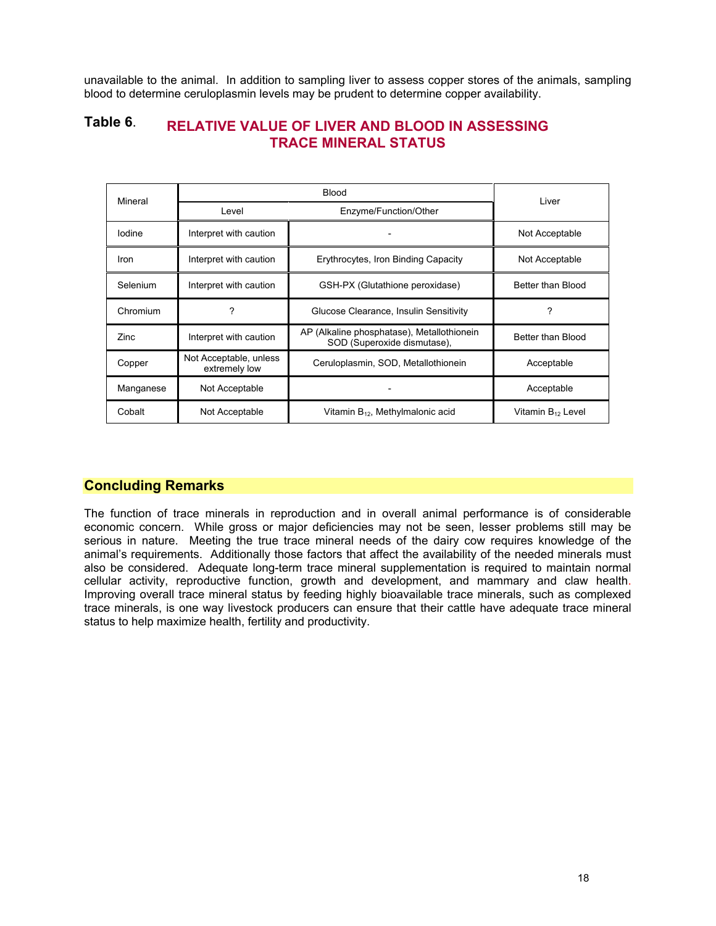unavailable to the animal. In addition to sampling liver to assess copper stores of the animals, sampling blood to determine ceruloplasmin levels may be prudent to determine copper availability.

#### **Table 6**. **RELATIVE VALUE OF LIVER AND BLOOD IN ASSESSING TRACE MINERAL STATUS**

| Mineral   |                                         | Liver                                                                     |                               |  |
|-----------|-----------------------------------------|---------------------------------------------------------------------------|-------------------------------|--|
|           | Level                                   | Enzyme/Function/Other                                                     |                               |  |
| lodine    | Interpret with caution                  |                                                                           | Not Acceptable                |  |
| Iron      | Interpret with caution                  | Erythrocytes, Iron Binding Capacity                                       | Not Acceptable                |  |
| Selenium  | Interpret with caution                  | GSH-PX (Glutathione peroxidase)                                           | Better than Blood             |  |
| Chromium  | ?                                       | Glucose Clearance, Insulin Sensitivity                                    | ?                             |  |
| Zinc      | Interpret with caution                  | AP (Alkaline phosphatase), Metallothionein<br>SOD (Superoxide dismutase), | Better than Blood             |  |
| Copper    | Not Acceptable, unless<br>extremely low | Ceruloplasmin, SOD, Metallothionein                                       | Acceptable                    |  |
| Manganese | Not Acceptable                          |                                                                           | Acceptable                    |  |
| Cobalt    | Not Acceptable                          | Vitamin $B_{12}$ , Methylmalonic acid                                     | Vitamin B <sub>12</sub> Level |  |

# **Concluding Remarks**

The function of trace minerals in reproduction and in overall animal performance is of considerable economic concern. While gross or major deficiencies may not be seen, lesser problems still may be serious in nature. Meeting the true trace mineral needs of the dairy cow requires knowledge of the animal's requirements. Additionally those factors that affect the availability of the needed minerals must also be considered. Adequate long-term trace mineral supplementation is required to maintain normal cellular activity, reproductive function, growth and development, and mammary and claw health. Improving overall trace mineral status by feeding highly bioavailable trace minerals, such as complexed trace minerals, is one way livestock producers can ensure that their cattle have adequate trace mineral status to help maximize health, fertility and productivity.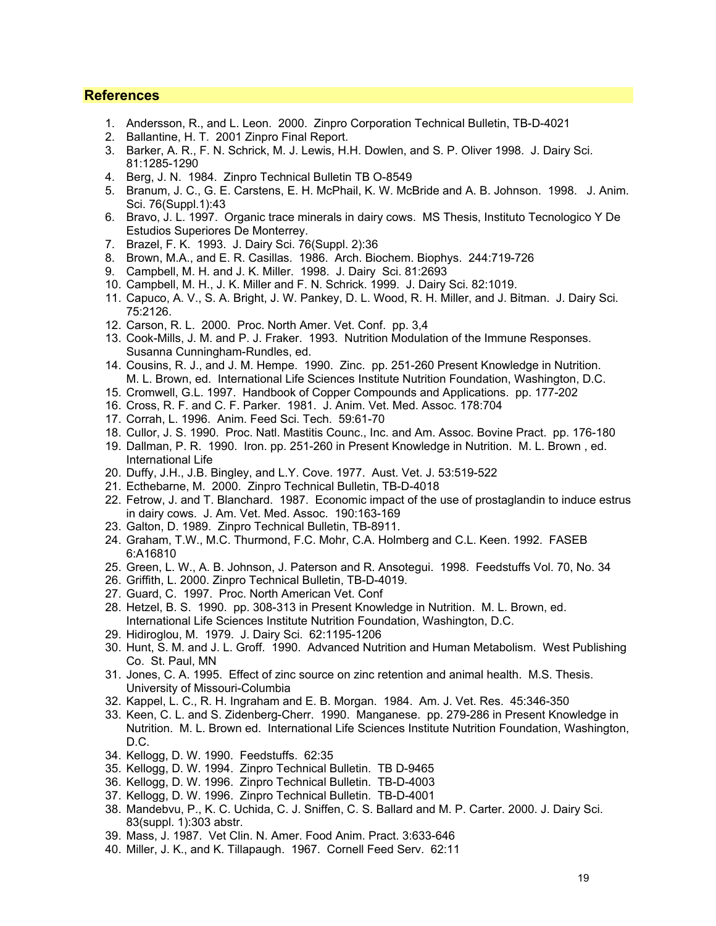#### **References**

- 1. Andersson, R., and L. Leon. 2000. Zinpro Corporation Technical Bulletin, TB-D-4021
- 2. Ballantine, H. T. 2001 Zinpro Final Report.
- 3. Barker, A. R., F. N. Schrick, M. J. Lewis, H.H. Dowlen, and S. P. Oliver 1998. J. Dairy Sci. 81:1285-1290
- 4. Berg, J. N. 1984. Zinpro Technical Bulletin TB O-8549
- 5. Branum, J. C., G. E. Carstens, E. H. McPhail, K. W. McBride and A. B. Johnson. 1998. J. Anim. Sci. 76(Suppl.1):43
- 6. Bravo, J. L. 1997. Organic trace minerals in dairy cows. MS Thesis, Instituto Tecnologico Y De Estudios Superiores De Monterrey.
- 7. Brazel, F. K. 1993. J. Dairy Sci. 76(Suppl. 2):36
- 8. Brown, M.A., and E. R. Casillas. 1986. Arch. Biochem. Biophys. 244:719-726
- 9. Campbell, M. H. and J. K. Miller. 1998. J. Dairy Sci. 81:2693
- 10. Campbell, M. H., J. K. Miller and F. N. Schrick. 1999. J. Dairy Sci. 82:1019.
- 11. Capuco, A. V., S. A. Bright, J. W. Pankey, D. L. Wood, R. H. Miller, and J. Bitman. J. Dairy Sci. 75:2126.
- 12. Carson, R. L. 2000. Proc. North Amer. Vet. Conf. pp. 3,4
- 13. Cook-Mills, J. M. and P. J. Fraker. 1993. Nutrition Modulation of the Immune Responses. Susanna Cunningham-Rundles, ed.
- 14. Cousins, R. J., and J. M. Hempe. 1990. Zinc. pp. 251-260 Present Knowledge in Nutrition. M. L. Brown, ed. International Life Sciences Institute Nutrition Foundation, Washington, D.C.
- 15. Cromwell, G.L. 1997. Handbook of Copper Compounds and Applications. pp. 177-202
- 16. Cross, R. F. and C. F. Parker. 1981. J. Anim. Vet. Med. Assoc. 178:704
- 17. Corrah, L. 1996. Anim. Feed Sci. Tech. 59:61-70
- 18. Cullor, J. S. 1990. Proc. Natl. Mastitis Counc., Inc. and Am. Assoc. Bovine Pract. pp. 176-180
- 19. Dallman, P. R. 1990. Iron. pp. 251-260 in Present Knowledge in Nutrition. M. L. Brown , ed. International Life
- 20. Duffy, J.H., J.B. Bingley, and L.Y. Cove. 1977. Aust. Vet. J. 53:519-522
- 21. Ecthebarne, M. 2000. Zinpro Technical Bulletin, TB-D-4018
- 22. Fetrow, J. and T. Blanchard. 1987. Economic impact of the use of prostaglandin to induce estrus in dairy cows. J. Am. Vet. Med. Assoc. 190:163-169
- 23. Galton, D. 1989. Zinpro Technical Bulletin, TB-8911.
- 24. Graham, T.W., M.C. Thurmond, F.C. Mohr, C.A. Holmberg and C.L. Keen. 1992. FASEB 6:A16810
- 25. Green, L. W., A. B. Johnson, J. Paterson and R. Ansotegui. 1998. Feedstuffs Vol. 70, No. 34
- 26. Griffith, L. 2000. Zinpro Technical Bulletin, TB-D-4019.
- 27. Guard, C. 1997. Proc. North American Vet. Conf
- 28. Hetzel, B. S. 1990. pp. 308-313 in Present Knowledge in Nutrition. M. L. Brown, ed. International Life Sciences Institute Nutrition Foundation, Washington, D.C.
- 29. Hidiroglou, M. 1979. J. Dairy Sci. 62:1195-1206
- 30. Hunt, S. M. and J. L. Groff. 1990. Advanced Nutrition and Human Metabolism. West Publishing Co. St. Paul, MN
- 31. Jones, C. A. 1995. Effect of zinc source on zinc retention and animal health. M.S. Thesis. University of Missouri-Columbia
- 32. Kappel, L. C., R. H. Ingraham and E. B. Morgan. 1984. Am. J. Vet. Res. 45:346-350
- 33. Keen, C. L. and S. Zidenberg-Cherr. 1990. Manganese. pp. 279-286 in Present Knowledge in Nutrition. M. L. Brown ed. International Life Sciences Institute Nutrition Foundation, Washington, D.C.
- 34. Kellogg, D. W. 1990. Feedstuffs. 62:35
- 35. Kellogg, D. W. 1994. Zinpro Technical Bulletin. TB D-9465
- 36. Kellogg, D. W. 1996. Zinpro Technical Bulletin. TB-D-4003
- 37. Kellogg, D. W. 1996. Zinpro Technical Bulletin. TB-D-4001
- 38. Mandebvu, P., K. C. Uchida, C. J. Sniffen, C. S. Ballard and M. P. Carter. 2000. J. Dairy Sci. 83(suppl. 1):303 abstr.
- 39. Mass, J. 1987. Vet Clin. N. Amer. Food Anim. Pract. 3:633-646
- 40. Miller, J. K., and K. Tillapaugh. 1967. Cornell Feed Serv. 62:11